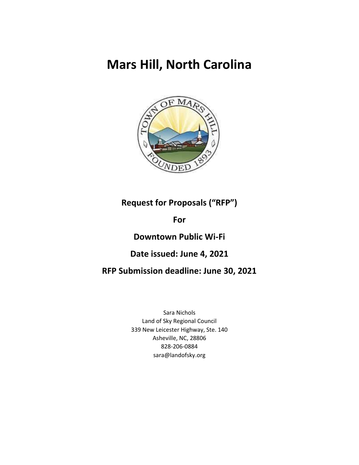# **Mars Hill, North Carolina**



# **Request for Proposals ("RFP")**

# **For**

# **Downtown Public Wi-Fi**

# **Date issued: June 4, 2021**

# **RFP Submission deadline: June 30, 2021**

Sara Nichols Land of Sky Regional Council 339 New Leicester Highway, Ste. 140 Asheville, NC, 28806 828-206-0884 sara@landofsky.org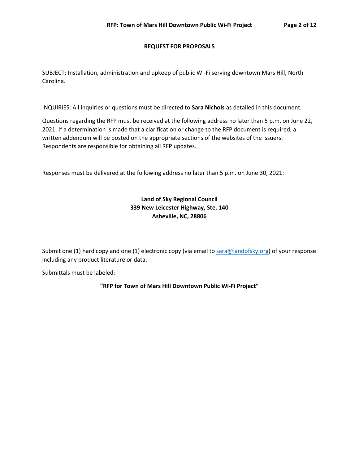#### **REQUEST FOR PROPOSALS**

SUBJECT: Installation, administration and upkeep of public Wi-Fi serving downtown Mars Hill, North Carolina.

INQUIRIES: All inquiries or questions must be directed to **Sara Nichols** as detailed in this document.

Questions regarding the RFP must be received at the following address no later than 5 p.m. on June 22, 2021. If a determination is made that a clarification or change to the RFP document is required, a written addendum will be posted on the appropriate sections of the websites of the issuers. Respondents are responsible for obtaining all RFP updates.

Responses must be delivered at the following address no later than 5 p.m. on June 30, 2021:

# **Land of Sky Regional Council 339 New Leicester Highway, Ste. 140 Asheville, NC, 28806**

Submit one (1) hard copy and one (1) electronic copy (via email to [sara@landofsky.org\)](mailto:sara@landofsky.org) of your response including any product literature or data.

Submittals must be labeled:

**"RFP for Town of Mars Hill Downtown Public Wi-Fi Project"**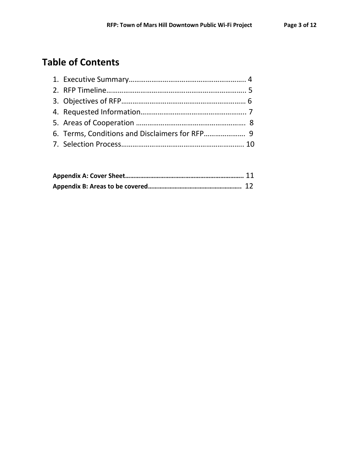# **Table of Contents**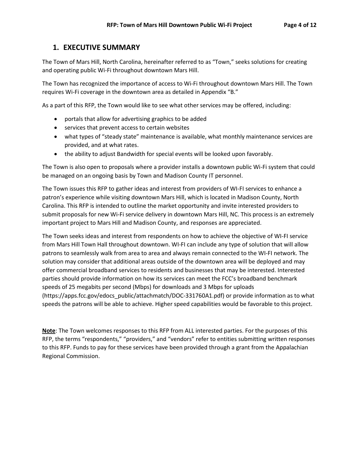# **1. EXECUTIVE SUMMARY**

The Town of Mars Hill, North Carolina, hereinafter referred to as "Town," seeks solutions for creating and operating public Wi-Fi throughout downtown Mars Hill.

The Town has recognized the importance of access to Wi-Fi throughout downtown Mars Hill. The Town requires Wi-Fi coverage in the downtown area as detailed in Appendix "B."

As a part of this RFP, the Town would like to see what other services may be offered, including:

- portals that allow for advertising graphics to be added
- services that prevent access to certain websites
- what types of "steady state" maintenance is available, what monthly maintenance services are provided, and at what rates.
- the ability to adjust Bandwidth for special events will be looked upon favorably.

The Town is also open to proposals where a provider installs a downtown public Wi-Fi system that could be managed on an ongoing basis by Town and Madison County IT personnel.

The Town issues this RFP to gather ideas and interest from providers of WI-FI services to enhance a patron's experience while visiting downtown Mars Hill, which is located in Madison County, North Carolina. This RFP is intended to outline the market opportunity and invite interested providers to submit proposals for new Wi-Fi service delivery in downtown Mars Hill, NC. This process is an extremely important project to Mars Hill and Madison County, and responses are appreciated.

The Town seeks ideas and interest from respondents on how to achieve the objective of WI-FI service from Mars Hill Town Hall throughout downtown. WI-FI can include any type of solution that will allow patrons to seamlessly walk from area to area and always remain connected to the WI-FI network. The solution may consider that additional areas outside of the downtown area will be deployed and may offer commercial broadband services to residents and businesses that may be interested. Interested parties should provide information on how its services can meet the FCC's broadband benchmark speeds of 25 megabits per second (Mbps) for downloads and 3 Mbps for uploads (https://apps.fcc.gov/edocs\_public/attachmatch/DOC-331760A1.pdf) or provide information as to what speeds the patrons will be able to achieve. Higher speed capabilities would be favorable to this project.

**Note**: The Town welcomes responses to this RFP from ALL interested parties. For the purposes of this RFP, the terms "respondents," "providers," and "vendors" refer to entities submitting written responses to this RFP. Funds to pay for these services have been provided through a grant from the Appalachian Regional Commission.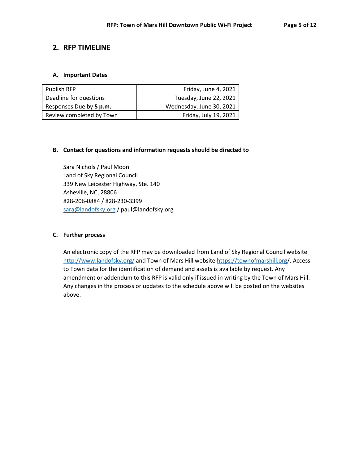# **2. RFP TIMELINE**

#### **A. Important Dates**

| <b>Publish RFP</b>       | Friday, June 4, 2021     |
|--------------------------|--------------------------|
| Deadline for questions   | Tuesday, June 22, 2021   |
| Responses Due by 5 p.m.  | Wednesday, June 30, 2021 |
| Review completed by Town | Friday, July 19, 2021    |

#### **B. Contact for questions and information requests should be directed to**

Sara Nichols / Paul Moon Land of Sky Regional Council 339 New Leicester Highway, Ste. 140 Asheville, NC, 28806 828-206-0884 / 828-230-3399 [sara@landofsky.org](mailto:sara@landofsky.org) / paul@landofsky.org

#### **C. Further process**

An electronic copy of the RFP may be downloaded from Land of Sky Regional Council website <http://www.landofsky.org/> and Town of Mars Hill website<https://townofmarshill.org/>. Access to Town data for the identification of demand and assets is available by request. Any amendment or addendum to this RFP is valid only if issued in writing by the Town of Mars Hill. Any changes in the process or updates to the schedule above will be posted on the websites above.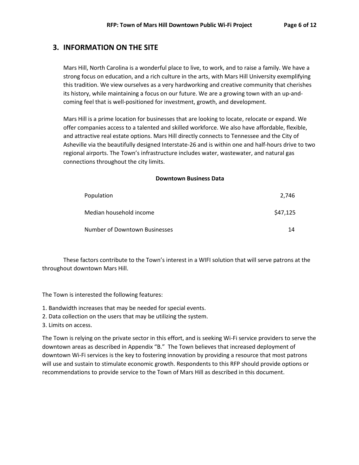# **3. INFORMATION ON THE SITE**

Mars Hill, North Carolina is a wonderful place to live, to work, and to raise a family. We have a strong focus on education, and a rich culture in the arts, with Mars Hill University exemplifying this tradition. We view ourselves as a very hardworking and creative community that cherishes its history, while maintaining a focus on our future. We are a growing town with an up-andcoming feel that is well-positioned for investment, growth, and development.

Mars Hill is a prime location for businesses that are looking to locate, relocate or expand. We offer companies access to a talented and skilled workforce. We also have affordable, flexible, and attractive real estate options. Mars Hill directly connects to Tennessee and the City of Asheville via the beautifully designed Interstate-26 and is within one and half-hours drive to two regional airports. The Town's infrastructure includes water, wastewater, and natural gas connections throughout the city limits.

#### **Downtown Business Data**

| Population                    | 2.746    |
|-------------------------------|----------|
| Median household income       | \$47,125 |
| Number of Downtown Businesses | 14       |

These factors contribute to the Town's interest in a WIFI solution that will serve patrons at the throughout downtown Mars Hill.

The Town is interested the following features:

- 1. Bandwidth increases that may be needed for special events.
- 2. Data collection on the users that may be utilizing the system.
- 3. Limits on access.

The Town is relying on the private sector in this effort, and is seeking Wi-Fi service providers to serve the downtown areas as described in Appendix "B." The Town believes that increased deployment of downtown Wi-Fi services is the key to fostering innovation by providing a resource that most patrons will use and sustain to stimulate economic growth. Respondents to this RFP should provide options or recommendations to provide service to the Town of Mars Hill as described in this document.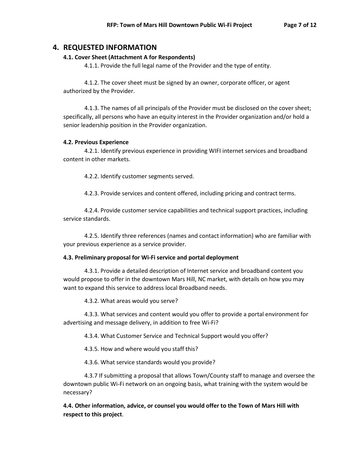### **4. REQUESTED INFORMATION**

### **4.1. Cover Sheet (Attachment A for Respondents)**

4.1.1. Provide the full legal name of the Provider and the type of entity.

4.1.2. The cover sheet must be signed by an owner, corporate officer, or agent authorized by the Provider.

4.1.3. The names of all principals of the Provider must be disclosed on the cover sheet; specifically, all persons who have an equity interest in the Provider organization and/or hold a senior leadership position in the Provider organization.

### **4.2. Previous Experience**

4.2.1. Identify previous experience in providing WIFI internet services and broadband content in other markets.

4.2.2. Identify customer segments served.

4.2.3. Provide services and content offered, including pricing and contract terms.

4.2.4. Provide customer service capabilities and technical support practices, including service standards.

4.2.5. Identify three references (names and contact information) who are familiar with your previous experience as a service provider.

### **4.3. Preliminary proposal for Wi-Fi service and portal deployment**

4.3.1. Provide a detailed description of Internet service and broadband content you would propose to offer in the downtown Mars Hill, NC market, with details on how you may want to expand this service to address local Broadband needs.

4.3.2. What areas would you serve?

4.3.3. What services and content would you offer to provide a portal environment for advertising and message delivery, in addition to free Wi-Fi?

4.3.4. What Customer Service and Technical Support would you offer?

4.3.5. How and where would you staff this?

4.3.6. What service standards would you provide?

4.3.7 If submitting a proposal that allows Town/County staff to manage and oversee the downtown public Wi-Fi network on an ongoing basis, what training with the system would be necessary?

**4.4. Other information, advice, or counsel you would offer to the Town of Mars Hill with respect to this project**.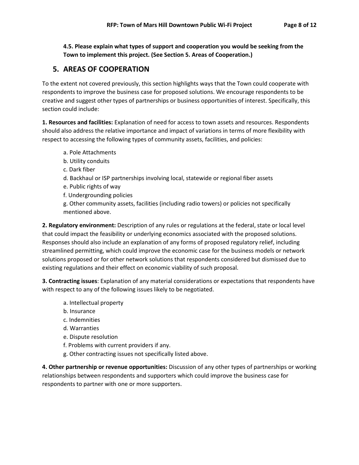**4.5. Please explain what types of support and cooperation you would be seeking from the Town to implement this project. (See Section 5. Areas of Cooperation.)**

# **5. AREAS OF COOPERATION**

To the extent not covered previously, this section highlights ways that the Town could cooperate with respondents to improve the business case for proposed solutions. We encourage respondents to be creative and suggest other types of partnerships or business opportunities of interest. Specifically, this section could include:

**1. Resources and facilities:** Explanation of need for access to town assets and resources. Respondents should also address the relative importance and impact of variations in terms of more flexibility with respect to accessing the following types of community assets, facilities, and policies:

- a. Pole Attachments
- b. Utility conduits
- c. Dark fiber
- d. Backhaul or ISP partnerships involving local, statewide or regional fiber assets
- e. Public rights of way
- f. Undergrounding policies
- g. Other community assets, facilities (including radio towers) or policies not specifically mentioned above.

**2. Regulatory environment:** Description of any rules or regulations at the federal, state or local level that could impact the feasibility or underlying economics associated with the proposed solutions. Responses should also include an explanation of any forms of proposed regulatory relief, including streamlined permitting, which could improve the economic case for the business models or network solutions proposed or for other network solutions that respondents considered but dismissed due to existing regulations and their effect on economic viability of such proposal.

**3. Contracting issues**: Explanation of any material considerations or expectations that respondents have with respect to any of the following issues likely to be negotiated.

- a. Intellectual property
- b. Insurance
- c. Indemnities
- d. Warranties
- e. Dispute resolution
- f. Problems with current providers if any.
- g. Other contracting issues not specifically listed above.

**4. Other partnership or revenue opportunities:** Discussion of any other types of partnerships or working relationships between respondents and supporters which could improve the business case for respondents to partner with one or more supporters.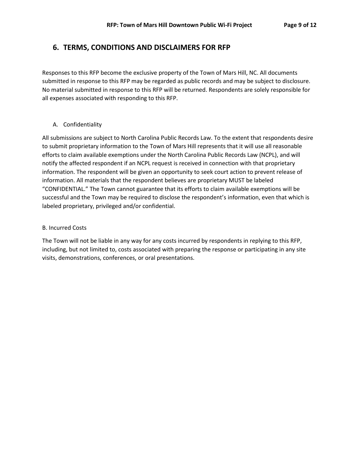# **6. TERMS, CONDITIONS AND DISCLAIMERS FOR RFP**

Responses to this RFP become the exclusive property of the Town of Mars Hill, NC. All documents submitted in response to this RFP may be regarded as public records and may be subject to disclosure. No material submitted in response to this RFP will be returned. Respondents are solely responsible for all expenses associated with responding to this RFP.

### A. Confidentiality

All submissions are subject to North Carolina Public Records Law. To the extent that respondents desire to submit proprietary information to the Town of Mars Hill represents that it will use all reasonable efforts to claim available exemptions under the North Carolina Public Records Law (NCPL), and will notify the affected respondent if an NCPL request is received in connection with that proprietary information. The respondent will be given an opportunity to seek court action to prevent release of information. All materials that the respondent believes are proprietary MUST be labeled "CONFIDENTIAL." The Town cannot guarantee that its efforts to claim available exemptions will be successful and the Town may be required to disclose the respondent's information, even that which is labeled proprietary, privileged and/or confidential.

#### B. Incurred Costs

The Town will not be liable in any way for any costs incurred by respondents in replying to this RFP, including, but not limited to, costs associated with preparing the response or participating in any site visits, demonstrations, conferences, or oral presentations.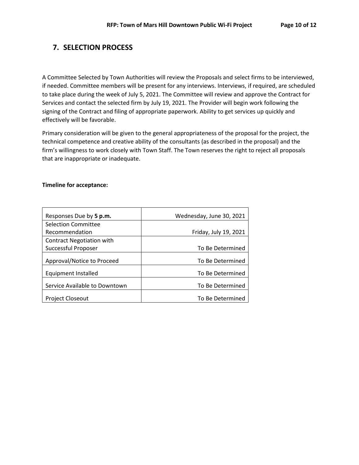# **7. SELECTION PROCESS**

A Committee Selected by Town Authorities will review the Proposals and select firms to be interviewed, if needed. Committee members will be present for any interviews. Interviews, if required, are scheduled to take place during the week of July 5, 2021. The Committee will review and approve the Contract for Services and contact the selected firm by July 19, 2021. The Provider will begin work following the signing of the Contract and filing of appropriate paperwork. Ability to get services up quickly and effectively will be favorable.

Primary consideration will be given to the general appropriateness of the proposal for the project, the technical competence and creative ability of the consultants (as described in the proposal) and the firm's willingness to work closely with Town Staff. The Town reserves the right to reject all proposals that are inappropriate or inadequate.

#### **Timeline for acceptance:**

| Responses Due by 5 p.m.          | Wednesday, June 30, 2021 |
|----------------------------------|--------------------------|
| <b>Selection Committee</b>       |                          |
| Recommendation                   | Friday, July 19, 2021    |
| <b>Contract Negotiation with</b> |                          |
| Successful Proposer              | To Be Determined         |
| Approval/Notice to Proceed       | To Be Determined         |
| <b>Equipment Installed</b>       | To Be Determined         |
| Service Available to Downtown    | To Be Determined         |
| <b>Project Closeout</b>          | To Be Determined         |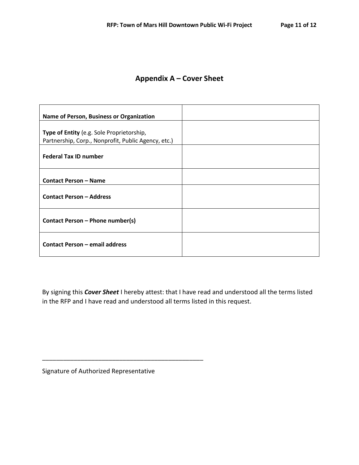# **Appendix A – Cover Sheet**

| Name of Person, Business or Organization            |  |
|-----------------------------------------------------|--|
| Type of Entity (e.g. Sole Proprietorship,           |  |
| Partnership, Corp., Nonprofit, Public Agency, etc.) |  |
| <b>Federal Tax ID number</b>                        |  |
| <b>Contact Person - Name</b>                        |  |
| <b>Contact Person - Address</b>                     |  |
| Contact Person - Phone number(s)                    |  |
| <b>Contact Person - email address</b>               |  |

By signing this *Cover Sheet* I hereby attest: that I have read and understood all the terms listed in the RFP and I have read and understood all terms listed in this request.

Signature of Authorized Representative

\_\_\_\_\_\_\_\_\_\_\_\_\_\_\_\_\_\_\_\_\_\_\_\_\_\_\_\_\_\_\_\_\_\_\_\_\_\_\_\_\_\_\_\_\_\_